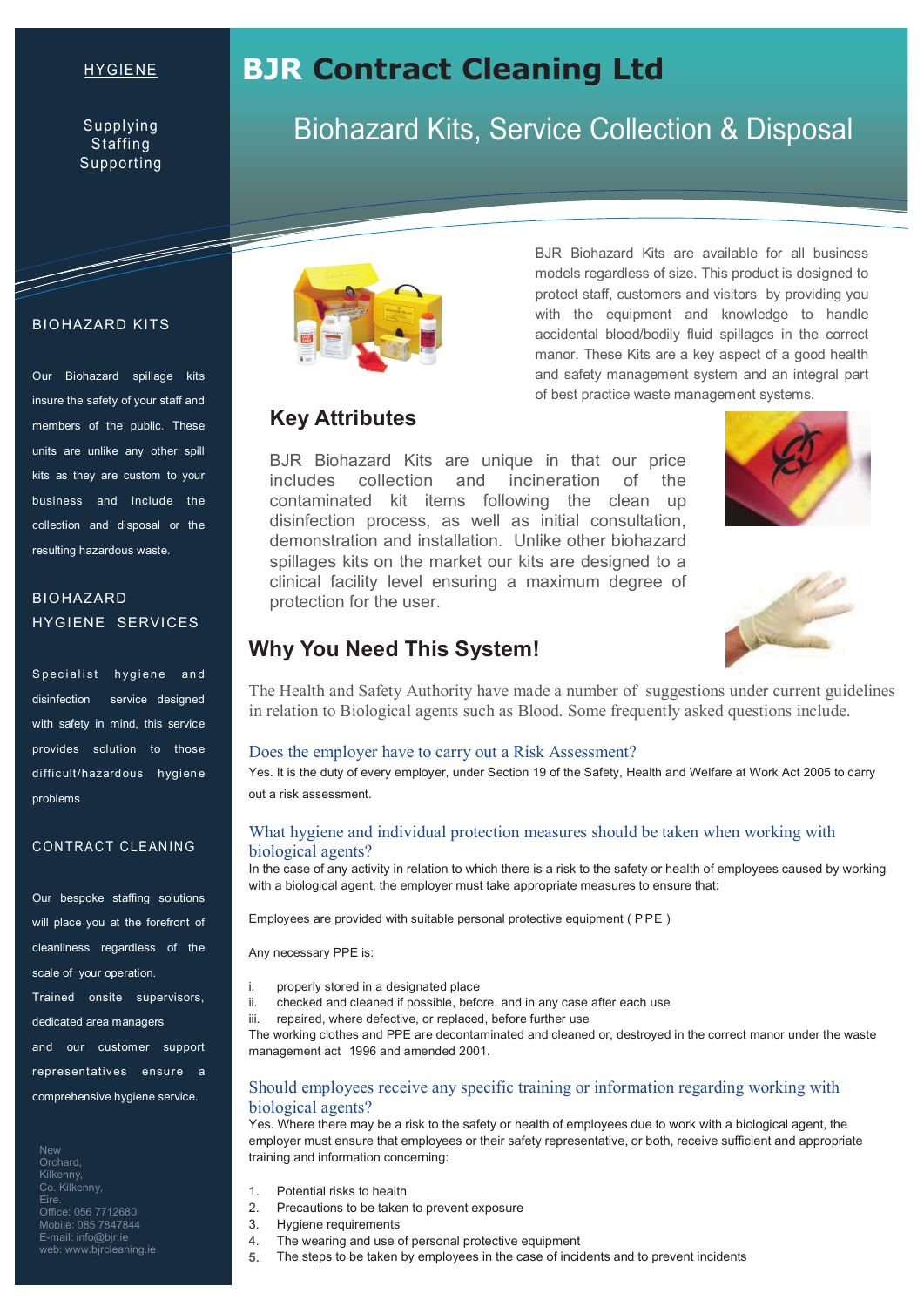#### HYGIENE

Supplying **Staffing** Supporting

# **BJR Contract Cleaning Ltd**

# Biohazard Kits, Service Collection & Disposal

BJR Biohazard Kits are available for all business models regardless of size. This product is designed to protect staff, customers and visitors by providing you with the equipment and knowledge to handle accidental blood/bodily fluid spillages in the correct manor. These Kits are a key aspect of a good health and safety management system and an integral part of best practice waste management systems.

# **Key Attributes**

BJR Biohazard Kits are unique in that our price includes collection and incineration of the contaminated kit items following the clean up disinfection process, as well as initial consultation, demonstration and installation. Unlike other biohazard spillages kits on the market our kits are designed to a clinical facility level ensuring a maximum degree of protection for the user.





# **Why You Need This System!**

The Health and Safety Authority have made a number of suggestions under current guidelines in relation to Biological agents such as Blood. Some frequently asked questions include.

#### Does the employer have to carry out a Risk Assessment?

Yes. It is the duty of every employer, under Section 19 of the Safety, Health and Welfare at Work Act 2005 to carry out a risk assessment.

#### What hygiene and individual protection measures should be taken when working with biological agents?

In the case of any activity in relation to which there is a risk to the safety or health of employees caused by working with a biological agent, the employer must take appropriate measures to ensure that:

Employees are provided with suitable personal protective equipment ( P PE )

Any necessary PPE is:

- i. properly stored in a designated place
- ii. checked and cleaned if possible, before, and in any case after each use
- iii. repaired, where defective, or replaced, before further use

The working clothes and PPE are decontaminated and cleaned or, destroyed in the correct manor under the waste management act 1996 and amended 2001.

#### Should employees receive any specific training or information regarding working with biological agents?

Yes. Where there may be a risk to the safety or health of employees due to work with a biological agent, the employer must ensure that employees or their safety representative, or both, receive sufficient and appropriate training and information concerning:

- 1. Potential risks to health
- 2. Precautions to be taken to prevent exposure
- 3. Hygiene requirements
- 4. The wearing and use of personal protective equipment
- 5. The steps to be taken by employees in the case of incidents and to prevent incidents

## BIOHAZARD KITS

a de la comparación de la comparación de la comparación de la comparación de la comparación de la comparación de

Our Biohazard spillage kits insure the safety of your staff and members of the public. These units are unlike any other spill kits as they are custom to your business and include the collection and disposal or the resulting hazardous waste.

## BIOHAZARD HYGIENE SERVICES

Specialist hygiene and disinfection service designed with safety in mind, this service provides solution to those difficult/hazardous hygiene problems

#### CONTRACT CLEANING

Our bespoke staffing solutions will place you at the forefront of cleanliness regardless of the scale of your operation.

Trained onsite supervisors, dedicated area managers and our customer support

representatives ensure a

comprehensive hygiene service.

**New** Orchard, Kilkenny, Co. Kilkenny, Eire. Office: 056 7712680 Mobile: 085 7847844 E-mail: info@bjr.ie web: www.bjrcleaning.ie